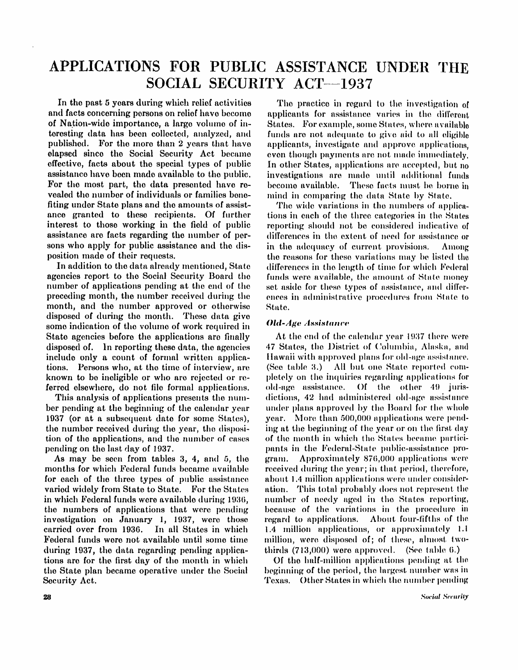# APPLICATIONS FOR PUBLIC ASSISTANCE UNDER THE SOCIAL SECURITY ACT—1937

In the past 5 years during which relief activities and facts concerning persons on relief have become of Nation-wide importance, a large volume of in teresting data has been collected, analyzed, and published. For the more than 2 years that have elapsed since the Social Security Act became effective, facts about the special types of public assistance have been made available to the public. For the most part, the data presented have revealed the number of individuals or families benefiting under State plans and the amounts of assistance granted to these recipients. Of further interest to those working in the field of public assistance are facts regarding the number of persons who apply for public assistance and the disposition made of their requests.

In addition to the data already mentioned, State agencies report to the Social Security Board the number of applications pending at the end of the preceding month, the number received during the month, and the number approved or otherwise disposed of during the month. These data give some indication of the volume of work required in State agencies before the applications are finally disposed of. In reporting these data, the agencies include only a count of formal written applications. Persons who, at the time of interview, are known to be ineligible or who are rejected or referred elsewhere, do not file formal applications.

This analysis of applications presents the number pending at the beginning of the calendar year 1937 (or at a subsequent date for some States), the number received during the year, the disposition of the applications, and the number of cases pending on the last day of 1937.

As may be seen from tables 3, 4, and 5, the months for which Federal funds became available for each of the three types of public assistance varied widely from State to State. For the States in which Federal funds were available during 1936, the numbers of applications that were pending investigation on January 1, 1937, were those carried over from 1936. In all States in which Federal funds were not available until some time during 1937, the data regarding pending applications are for the first day of the month in which the State plan became operative under the Social Security Act.

The practice in regard to the investigation of applicants for assistance varies in the different States. For example, some States, where available funds are not adequate to give aid to all eligible applicants, investigate and approve applications, even though payments are not made immediately. In other States, applications are accepted, but no investigations are made until additional funds become available. Those facts must be borne in mind in comparing the data State by State.

The wide variations in the numbers of applications in each of the three categories in the States reporting should not be considered indicative of differences in the extent of need for assistance or in the adequacy of current provisions. Among the reasons for these variations may be listed the differences in the length of time for which Federal funds were available, the amount of State money set aside for these types of assistance, and differences in administrative procedures from State to State.

## *Old-Age Assistance*

At the end of the calendar year 1937 there were 47 States, the District of Columbia, Alaska, and Hawaii with approved plans for old-age assistance. (See table 3.) All but one State reported completely on the inquiries regarding applications for old-age assistance. Of the other 49 jurisdictions, 42 had administered old-age assistance under plans approved by the Board for the whole year. More than 500,000 applications were pending at the beginning of the year or on the first day of the month in which the States became participants in the Federal-State public-assistance program. Approximately 870,000 applications were received during the year; in that period, therefore, about 1.4 million applications were under consideration. This total probably does not represent the number of needy aged in the States reporting, because of the variations in the procedure in regard to applications. About four-fifths of the 1.4 million applications, or approximately 1.1 million, were disposed of; of those, almost twothirds (713,000) were approved. (See table 6.)

Of the half-million applications pending at the beginning of the period, the largest number was in Texas. Other States in which the number pending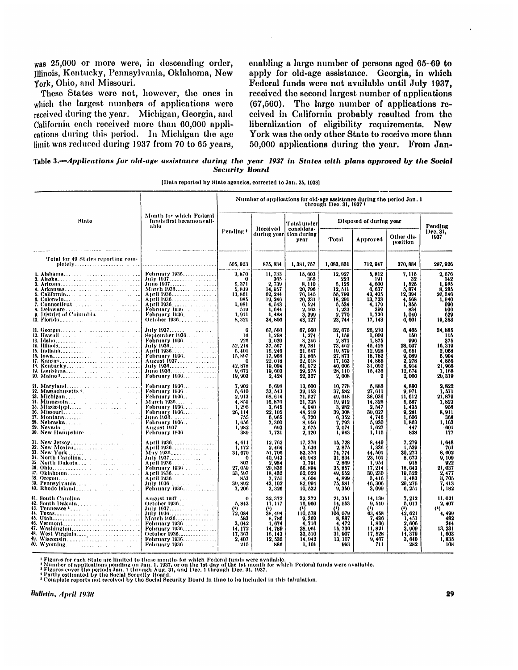was 25,000 or more were, in descending order, Illinois, Kentucky, Pennsylvania, Oklahoma, New York, Ohio, and Missouri.

These States were not, however, the ones in which the largest numbers of applications were received during the year. Michigan, Georgia, and California each received more than 60,000 applications during this period. In Michigan the age limit was reduced during 1937 from 70 to 65 years,

enabling a large number of persons aged 65-69 to apply for old-age assistance. Georgia, in which Federal funds were not available until July 1937, received the second largest number of applications (67,560). The large number of applications received in California probably resulted from the liberalization of eligibility requirements. New York was the only other State to receive more than 50,000 applications during the year. From Jan-

Table 3.—*Applications for old-age assistance during the year 1937 in States with plans approved by the Social Security Board* 

|                                                                    |                                                                                                                                                                | Number of applications for old-age assistance during the period Jan. 1<br>through Dec. 31, 1937 ( |                                                                                                            |                                                                                                     |                                                                                                   |                                                                                                 |                                                                                              |                                                                                                     |
|--------------------------------------------------------------------|----------------------------------------------------------------------------------------------------------------------------------------------------------------|---------------------------------------------------------------------------------------------------|------------------------------------------------------------------------------------------------------------|-----------------------------------------------------------------------------------------------------|---------------------------------------------------------------------------------------------------|-------------------------------------------------------------------------------------------------|----------------------------------------------------------------------------------------------|-----------------------------------------------------------------------------------------------------|
| State                                                              | Month for which Federal<br>funds first became avail-<br>ablo                                                                                                   |                                                                                                   | Received                                                                                                   | Total under<br>considera-                                                                           | Disposed of during year                                                                           |                                                                                                 |                                                                                              | Pending                                                                                             |
|                                                                    |                                                                                                                                                                | Pending #                                                                                         | during year                                                                                                | tion during<br>year                                                                                 | <b>Total</b>                                                                                      | Approved                                                                                        | Other dis-<br>position                                                                       | Dec. 31.<br>1937                                                                                    |
| Total for 49 States reporting com-                                 |                                                                                                                                                                | 505, 923                                                                                          | 875, 834                                                                                                   | 1,381,757                                                                                           | 1,083,831                                                                                         | 712, 947                                                                                        | 370, 884                                                                                     | 297, 926                                                                                            |
| 1. Alabama<br>3. Arizona<br>9. District of Columbia<br>10. Florida | <b>February 1936</b><br>July 1937<br>April 1936.<br><b>February 1936</b><br><b>February 1936.</b><br>October 1936                                              | 3,870<br>$\mathbf{a}$<br>5,371<br>5,839<br>13, 861<br>985<br>1,981<br>519<br>1,911<br>8,321       | 11,733<br>365<br>2,739<br>14.957<br>62.284<br>19, 246<br>4.643<br>1.044<br>1,488<br>34,806                 | 15,603<br>365<br>8,110<br>20,790<br>76, 145<br>20, 231<br>0.524<br>2.163<br>3.399<br>43, 127        | 12, 927<br>223<br>6,125<br>12, 511<br>55, 799<br>18, 291<br>5.534<br>1.233<br>2.770<br>23, 744    | 5,812<br>191<br>4,600<br>6, 637<br>43, 405<br>13,723<br>4,179<br>399<br>1,730<br>17, 143        | 7, 115<br>32<br>1,525<br>5.874<br>12, 394<br>4,508<br>1,855<br>834<br>1.040<br>6,601         | 2,076<br>142<br>1,985<br>$\frac{8}{20}$ , $\frac{285}{346}$<br>1,940<br>990<br>930<br>629<br>19,383 |
|                                                                    | September 1936.<br>Tuly 1936<br>April 1936<br>February 1936<br>August 1937<br>June 1936.                                                                       | o<br>16<br>226<br>52.214<br>0.401<br>15,897<br>Ω<br>42.878<br>9.672<br>19, 903                    | 67, 600<br>1,258<br>3.020<br>37.567<br>15, 246<br>17, 968<br>22,018<br>19.094<br>19.003<br>2, 424          | 67, 560<br>1, 274<br>3.246<br>89, 781<br>21.647<br>33.865<br>22,018<br>61,972<br>29, 275<br>22, 327 | 32, 675<br>1,159<br>2,871<br>73, 462<br>19, 579<br>27,871<br>17, 163<br>40.006<br>28.110<br>2,008 | 26, 210<br>1.009<br>1,875<br>45, 425<br>12, 928<br>18,782<br>14.885<br>31,092<br>15,436         | 6, 165<br>160<br>996<br>28,037<br>0.651<br>9,089<br>2, 278<br>8.914<br>12.674<br>2,006       | 34,885<br>115<br>875<br>10, 319<br>2,068<br>5,994<br>4.855<br>21,966<br>1,165<br>20, 319            |
| 22. Massachusetts (Chambridge Communication)                       | <b>February 1936</b><br>February 1936.<br>February 1936. .<br>February 1936. .<br>March 1936<br><b>February 1936</b><br>February 1936.<br><b>February 1936</b> | 7.902<br>5.610<br>2.913<br>4.859<br>1,205<br>26, 114<br>755<br>1.656<br>1.982<br>389              | 5.698<br>33. 543<br>68.614<br>16,876<br>3.645<br>22.105<br>5.965<br>7,300<br>693<br>1,731                  | 13,600<br>39.153<br>71.527<br>21,735<br>4.940<br>48, 219<br>6,720<br>8,956<br>2.675<br>2,120        | 10.778<br>37, 582<br>49.048<br>19 912<br>3,982<br>39, 308<br>6,352<br>7.793<br>2.074<br>1,943     | 5,888<br>27.611<br>38,036<br>14.325<br>2.547<br>30,027<br>4,746<br>5,930<br>1.027<br>1.115      | 4.890<br>9.971<br>11.012<br>5.587<br>1.435<br>9.281<br>1.606<br>1,863<br>447<br>828          | 2.822<br>1,571<br>21, 879<br>1,823<br>958<br>8.911<br>368<br>1, 163<br>001<br>177                   |
|                                                                    | April 1936.<br>April 1936<br>May 1936<br>April 1936<br>February 1936                                                                                           | 4.614<br>1, 172<br>31, 670<br>807<br>27,059<br>33.597<br>853<br>39.892<br>7, 206                  | 12.762<br>2.404<br>51,706<br>40, 943<br>2,984<br>29,835<br>18.432<br>7,751<br>43, 102<br>3,326             | 17, 376<br>3. 636<br>83, 370<br>40.943<br>3,791<br>56,894<br>52.029<br>8,004<br>82, 004<br>10, 532  | 15, 728<br>2,875<br>74, 774<br>31.834<br>2,869<br>35,857<br>49.552<br>4,899<br>75, 581<br>9,350   | 8.449<br>1,336<br>44.501<br>23, 161<br>1,954<br>17, 214<br>30, 230<br>3,416<br>40, 306<br>3,099 | 7,279<br>1, 539<br>30, 273<br>8, 673<br>918<br>18.043<br>19.322<br>1,483<br>29, 275<br>0,251 | 1.648<br>761<br>8,002<br>0,100<br>922<br>21, 037<br>2.477<br>3,705<br>7,413<br>1,182                |
| 46. Vermont<br>80. Wyoming                                         | October 1936.<br>July 1937.<br>February 1936<br>February 1936<br>October 1936<br><b>February 1936</b><br>February 1936.                                        | 5,843<br>$\bf{^{\prime}}$<br><b>72, 084</b><br>683<br>3.042<br>14.172<br>17,367<br>2.407<br>215   | 32, 372<br>11, 117<br>$\bf{^{\prime}}$<br>38, 494<br>8,786<br>1.674<br>14.789<br>16, 143<br>12, 535<br>886 | 32, 372<br>16,900<br>$\bf{a}$<br>110.578<br>9.369<br>4.716<br>28.961<br>33, 510<br>14,942<br>1, 101 | 21, 351<br>14, 553<br>(*)<br>106, 079<br>8.887<br>4.472<br>15,730<br>31.907<br>13, 107<br>993     | 14, 139<br>9,510<br>(8)<br>63, 458<br>7.430<br>1,866<br>11,821<br>17, 528<br>9.407<br>711       | 7, 212<br>5,013<br>$\bf{a}$<br>42, 621<br>1,451<br>2.000<br>3.009<br>14,379<br>3,640<br>282  | 11.021<br>2,407<br>(*)<br>4,499<br>482<br>244<br>13, 231<br>1,003<br>1,835<br>108                   |

[Data reported by State agencies, corrected to Jan. 25, 1938]

<sup>1</sup> Figures for each State are limited to those months for which Federal funds were available.<br>• Number of applications pending on Jan. 1, 1937, or on the 1st day of the 1st month for which Federal funds were available.<br>•

Bulletin, April 1938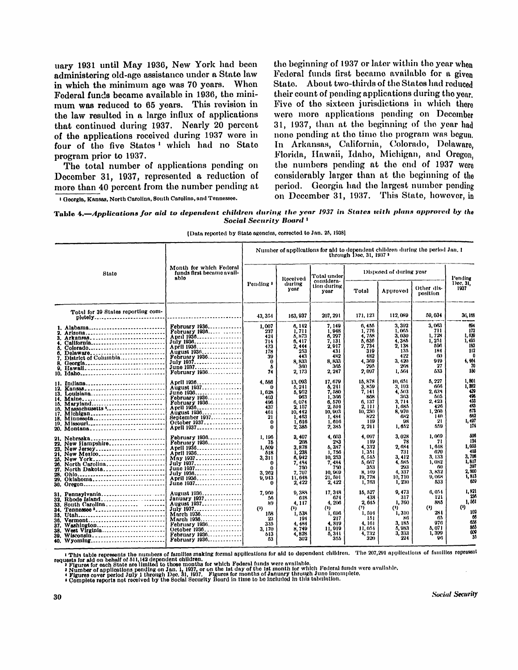uary 1931 until May 1936, New York had been administering old-age assistance under a State law in which the minimum age was 70 years. When Federal funds became available in 1936, the minimum was reduced to 65 years. This revision in the law resulted in a large influx of applications that continued during 1937. Nearly 20 percent of the applications received during 1937 were in four of the five States<sup>1</sup> which had no State program prior to 1937.

The total number of applications pending on December 31, 1937, represented a reduction of more than 40 percent from the number pending at

1 Georgia, Kansas, North Carolina, South Carolina, and Tennessee.

the beginning of 1937 or later within the year when Federal funds first became available for a given State. About two-thirds of the States had reduced their count of pending applications during the year. Five of the sixteen jurisdictions in which there were more applications pending on December 3 1 , 1937, than at the beginning of the year had none pending at the time the program was begun. In Arkansas, California, Colorado, Delaware. Florida, Hawaii, Idaho, Michigan, and Oregon, the numbers pending at the and of 1937 were considerably larger than at the beginning of the period. Georgia had the largest number pending on December 31, 1937. This State, however, in

Table 4.—*Applications for aid to dependent children during the year 1937 in States with plans approved by the Social Security Board <sup>1</sup>*

| Month for which Federal<br>funds first became avail-<br>State<br>able |                                                                                                                                                                  | Number of applications for aid to dependent children during the period Jan. 1<br>through 10ec, 31, 1937 1                                                                               |                                                                                |                                                                                                         |                                                                                                          |                                                                                                        |                                                                                                         |                                                                                         |                                                                                      |
|-----------------------------------------------------------------------|------------------------------------------------------------------------------------------------------------------------------------------------------------------|-----------------------------------------------------------------------------------------------------------------------------------------------------------------------------------------|--------------------------------------------------------------------------------|---------------------------------------------------------------------------------------------------------|----------------------------------------------------------------------------------------------------------|--------------------------------------------------------------------------------------------------------|---------------------------------------------------------------------------------------------------------|-----------------------------------------------------------------------------------------|--------------------------------------------------------------------------------------|
|                                                                       |                                                                                                                                                                  |                                                                                                                                                                                         |                                                                                | Received                                                                                                | Total under                                                                                              | Disposed of during year                                                                                |                                                                                                         |                                                                                         | Pending                                                                              |
|                                                                       |                                                                                                                                                                  |                                                                                                                                                                                         | Pending '                                                                      | during<br>voar                                                                                          | considera-<br>tion during<br>year                                                                        | Total                                                                                                  | Approved                                                                                                | Other dis-<br>position                                                                  | Dec. 31.<br>1937                                                                     |
|                                                                       | Total for 39 States reporting com-<br>pletely                                                                                                                    |                                                                                                                                                                                         | 43, 354                                                                        | 163, 937                                                                                                | 207, 201                                                                                                 | 171, 123                                                                                               | 112,089                                                                                                 | 50,034                                                                                  | 36,168                                                                               |
| В.<br>6.<br>8.<br>9.<br>12.                                           | 1. Alabama<br>2. Arizona<br>3. Arkansas<br>California<br>Colorado<br>Delaware<br>District of Columbia<br>Georgia<br>Hawall<br>10. Idaho<br>11. Indiana<br>Kansas | February 1936<br>February 1936<br>April 1936<br>July 1936<br>April 1936<br>August 1936<br><b>February 1936</b><br>July 1937<br>June 1937.<br>February 1936<br>April 1936<br>August 1937 | 1,007<br>237<br>424<br>714<br>473<br>178<br>39<br>$\Omega$<br>Δ<br>74<br>4.586 | 6, 142<br>1.711<br>5, 373<br>6,417<br>2,444<br>253<br>443<br>8,833<br>300<br>2, 173<br>13,093<br>5, 241 | 7. 149<br>1.948<br>6,207<br>7, 131<br>2,917<br>431<br>482<br>8, 833<br>365<br>2, 247<br>17.679<br>5, 241 | 6, 455<br>1.776<br>4,758<br>5, 636<br>2,734<br>319<br>482<br>4,300<br>205<br>2.007<br>15, 878<br>3,859 | 3,302<br>1,005<br>3,030<br>4,385<br>2, 138<br>135<br>422<br>3, 420<br>203<br>1,564<br>10, 651<br>3, 103 | 3, 063<br>711<br>1.728<br>1,251<br>500<br>184<br>60<br>919<br>27<br>633<br>5,227<br>666 | 694<br>172<br>1. 639<br>1.495<br>183<br>112<br>4,464<br>70<br>150<br>1,801<br>1, 382 |
| 16.                                                                   | 13. Louisiana<br>14. Maine<br>15. Maryland<br>Massachusetts '<br>17. Michigan<br>18. Minnesota<br>19. Missourl<br>20. Montana                                    | June 1936<br>February 1930<br>February 1936<br>April 1936<br>August 1936<br>September 1937.<br>October 1937<br>April 1937                                                               | 1, 625<br>403<br>496<br>437<br>461<br>21<br>$\Omega$<br>$\bf{0}$               | 5,952<br>903<br>0.074<br>2, 157<br>10,442<br>1,463<br>1.616<br>2,385                                    | 7.580<br>1,366<br>6.570<br>2, 594<br>10.003<br>1.484<br>1.616<br>2,385                                   | 7. 141<br>868<br>6.137<br>2, 111<br>10, 230<br>822<br>119<br>2, 211                                    | 4.503<br>363<br>3, 714<br>1.685<br>8.970<br>682<br>98<br>1,652                                          | 2.638<br>605<br>2,423<br>426<br>1.260<br>140<br>21<br>659                               | 439<br>498<br>433<br>483<br>678<br>662<br>1,497<br>174                               |
| 22.<br>23.<br>21.<br>26.<br>28.<br>29.                                | 21. Nebraska<br>New Hampshire<br>New Jersey<br>New Mexico<br>25. New York<br>North Carolina<br>27. North Dakota<br>Ohlo<br>Oklahoma<br>30. Oregon                | February 1936<br>February 1936<br>April 1936<br>April 1936<br>May 1937<br>July 1937<br>June 1937<br>July 1936<br>April 1936<br>June 1937                                                | 1,196<br>75<br>1,509<br>518<br>3,311<br>0<br>0<br>3.262<br>9,943               | 3,407<br>208<br>3,878<br>1.238<br>6,942<br>7,484<br>750<br>7.707<br>11.648<br>2,422                     | 4,003<br>23<br>5.387<br>1.756<br>10, 253<br>7,484<br>750<br>10.969<br>21,591<br>2, 422                   | 4.097<br>149<br>4,332<br>1,351<br>6,545<br>5, 667<br>353<br>8,169<br>19,778<br>1,763                   | 3.028<br>73<br>2. 634<br>731<br>3.412<br>4. 585<br>293<br>4.337<br>10.710<br>1, 230                     | 1.000<br>71<br>1.618<br>620<br>3, 133<br>1.082<br>60<br>3.832<br>9,008<br>533           | 506<br>134<br>1,035<br>405<br>3.708<br>1.817<br>397<br>2.800<br>1,813<br>659         |
| 35.<br>36.<br>37.<br>38.<br>39.                                       | 31. Pennsylvania<br>32. Rhode Island<br>33. Bouth Carolina<br>34. Tennessee '<br>Utah<br>Vermont<br>Washington<br>West Virginia<br>Wisconsin<br>40. Wyoming      | August 1936<br>January 1937<br>August 1937<br>July 1937<br>March 1936<br>March 1936<br><b>February 1936</b><br>October 1936.<br>February 1936<br>February 1036                          | 7. OGO<br>56<br>89<br>(3)<br>158<br>23<br>335<br>3.170<br>513<br>63            | 9, 388<br>618<br>4, 117<br>$\left($<br>1,538<br>194<br>4,484<br>8,749<br>4,828<br>302                   | 17, 348<br>674<br>4, 206<br>(3)<br>1,696<br>217<br>4.819<br>11,919<br>5,341<br>355                       | 15, 527<br>438<br>2,045<br>(!)<br>1,594<br>151<br>4.161<br>11.054<br>4,732<br>320                      | 9.473<br>317<br>1,760<br>$\bf{^{(1)}}$<br>1,310<br>×в<br>3. 185<br>5.983<br>3, 333<br>224               | 6,054<br>121<br>885<br>(!)<br>284<br>65<br>976<br>5.071<br>1.399<br>96                  | 1,821<br>236<br>1,561<br>$\bf{^{\prime}}$<br>102<br>66<br>658<br>865<br>609<br>35    |

1 This table represents the numbers of families making formal applications for aid to dependent children. The 207,291 applications of families represent<br>requests for aid on behalf of 511,142 dependent children.<br>
• Figures

**Social Security**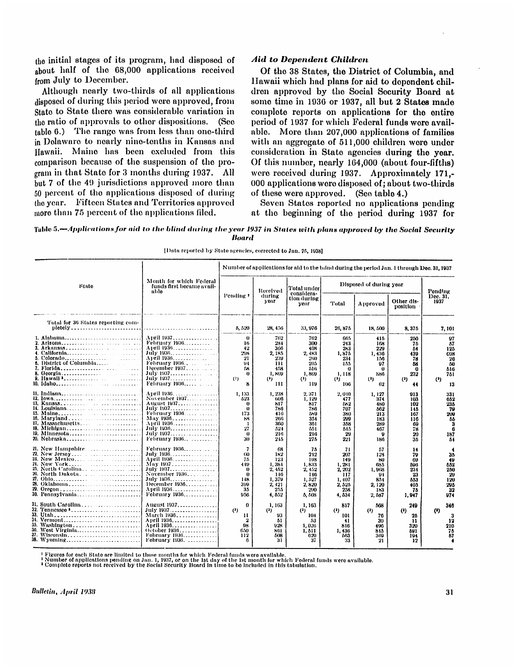the initial stages of its program, had disposed of about half of the 68,000 applications received from July to December.

Although nearly two-thirds of all applications disposed of during this period were approved, from State to State there was considerable variation in the ratio of approvals to other dispositions. (See table 6.) The range was from less than one-third in Delaware to nearly nine-tenths in Kansas and Hawaii. Maine has been excluded from this comparison because of the suspension of the program in that State for 3 months during 1937. All but 7 of the 49 jurisdictions approved more than 50 percent of the applications disposed of during the year. Fifteen States and Territories approved more than 75 percent of the applications filed.

### *Aid to Dependent Children*

Of the 38 States, the District of Columbia, and Hawaii which had plans for aid to dependent children approved by the Social Security Board at some time in 1936 or 1937, all but 2 States made complete reports on applications for the entire period of 1937 for which Federal funds were available. More than 207,000 applications of families with an aggregate of 511,000 children were under consideration in State agencies during the year. Of this number, nearly 164,000 (about four-fifths) were received during 1937. Approximately 171.- $000$  applications were disposed of; about two-thirds of these were approved. (See table 4.)

Seven States reported no applications pending at the beginning of the period during 1937 for

#### Tabl e 5.—*Applications for aid to the blind during the year 1937 in States wit h plans approved by the Social Security Board*

|                                                                                                                                                                  |                                                                                                                                                            |                                                                                    |                                                                               | Number of applications for aid to the bind during the period Jan. 1 through Dec. 31, 1937 |                                                                                |                                                                       |                                                                 |                                                             |
|------------------------------------------------------------------------------------------------------------------------------------------------------------------|------------------------------------------------------------------------------------------------------------------------------------------------------------|------------------------------------------------------------------------------------|-------------------------------------------------------------------------------|-------------------------------------------------------------------------------------------|--------------------------------------------------------------------------------|-----------------------------------------------------------------------|-----------------------------------------------------------------|-------------------------------------------------------------|
| State                                                                                                                                                            | Month for which Federal<br>funds first became avail-<br>able                                                                                               |                                                                                    | Received                                                                      | Total under<br>considera-                                                                 |                                                                                | Disposed of during year                                               |                                                                 | Pending                                                     |
|                                                                                                                                                                  |                                                                                                                                                            | Pending 1                                                                          | during<br><b>Y</b> DAT                                                        | tion during<br>уеаг                                                                       | <b>Total</b>                                                                   | Approved                                                              | Other dis-<br>position                                          | Dec. 31.<br>1937                                            |
| Total for 30 States reporting com-<br>$plotly$                                                                                                                   |                                                                                                                                                            | 5,520                                                                              | 28, 456                                                                       | 33, 976                                                                                   | 26,875                                                                         | 18,500                                                                | 8,375                                                           | 7, 101                                                      |
| 1. Alabama<br>1.1.1.1.1.1                                                                                                                                        | April 1937.<br><b>February 1936.</b><br>April 1936<br>July 1936.<br>April 1930.<br><b>February 1936.</b><br>December $1937$<br>July 1937.<br>February 1936 | $\theta$<br>16<br>42<br>208<br>21<br>94<br>М<br>0<br>$\left($ :<br>8               | 762<br>234<br>366<br>2.185<br>239<br>111<br>458<br>1,869<br>(3)<br>111        | 762<br>300<br>408<br>2,483<br>260<br>205<br>516<br>1,869<br>$(3)$<br>119                  | 665<br>243<br>283<br>1.875<br>234<br>155<br>$_{0}$<br>1.118<br>$\left($<br>106 | 415<br>168<br>229<br>1,436<br>156<br>97<br>0<br>586<br>(2)<br>62      | 250<br>75<br>54<br>439<br>78<br>68<br>0<br>232<br>(3)<br>44     | 97<br>57<br>125<br>cos<br>26<br>60<br>510<br>751<br>(<br>13 |
| 11. Indiana<br>12. Iowa<br>14. Louisiana<br>15. Maine<br>17. Massachusetts<br>18. Michigan<br>19. Minnesota                                                      | April 1936.<br>November 1937<br>Attenst 1937<br>July 1937<br>February 1936<br>May 1936<br>April 1936.<br>July 1936<br>July 1937<br>February 1936           | 1, 133<br>523<br>$_{0}$<br>$\mathbf{0}$<br>173<br>88<br>-1<br>27<br>$\theta$<br>30 | 1, 238<br>606<br>817<br>780<br>416<br>200<br>360<br>524<br>216<br>245         | 2, 371<br>1.120<br>817<br>786<br>589<br>354<br>301<br>551<br>216<br>276                   | 2.010<br>477<br>652<br>707<br>380<br>200<br>358<br>545<br>29<br>221            | 1, 127<br>374<br>480<br>562<br>213<br>183<br>289<br>467<br>9<br>186   | 913<br>103<br>102<br>145<br>167<br>116<br>69<br>78<br>20<br>35  | 331<br>652<br>235<br>79<br>200<br>55<br>3<br>187<br>54      |
| 21. New Hampshire.<br>22. New Jersey<br>23. New Mexico<br>21. New York<br>25. North Carolina<br>26. North Dakota<br>27. Ohlo<br>28. Oklahoma<br>30. Pennsylvania | February 1936<br>July 1936.<br>April 1936.<br>May 1937<br>July 1937<br>November 1936.<br>July 1936.<br>December $1936$<br>April 1936<br>February 1936      | 7<br>60<br>75<br>449<br>0<br>0<br>148<br>300<br>35<br>956                          | 63<br>182<br>123<br>1,384<br>2.452<br>146<br>1,379<br>2, 421<br>255<br>4, 552 | 75<br>212<br>198<br>1,833<br>2,452<br>146<br>1,527<br>2. 820<br>200<br>5, 508             | 71<br>207<br>149<br>1.281<br>2, 202<br>117<br>1,407<br>2, 525<br>258<br>4, 534 | 57<br>128<br>80<br>635<br>1.063<br>94<br>854<br>2.120<br>183<br>2.587 | 14<br>79<br>69<br>596<br>234<br>23<br>883<br>405<br>75<br>1.947 | 35<br>49<br>552<br>250<br>20<br>120<br>295<br>32<br>974     |
| 31. South Carolina<br>33. Utah<br>34. Vermont<br>30. West Virginia<br>37. Wisconsin<br>38. Wyoming                                                               | August 1937<br>July 1937<br>March 1936.<br>April 1936.<br>April 1936.<br>October 1936<br>February 1936<br>February 1936.                                   | 0<br>(<br>11<br>9<br>98<br>650<br>112                                              | 1, 163<br>(3)<br>93<br>51<br>928<br>861<br>508<br>31                          | 1,163<br>$\bf{r}$<br>104<br>53<br>1,026<br>1, 511<br>620<br>37                            | 817<br>(3)<br>101<br>41<br>816<br>1,430<br>163<br>33                           | 568<br>(3)<br>76<br>30<br>496<br>815<br>369<br>21                     | 249<br>(1)<br>25<br>11<br>320<br>591<br>194<br>12               | 346<br>(<br>12<br>210<br>76<br>ò7                           |

[Data reported by State agencies, corrected to Jan. 25, 1938]

<sup>t</sup> Figu<mark>res</mark> for each State are limited to those months for which Federal funds were available.<br>• Number of applications pending on Jan. 1, 1937, or on the 1st day of the 1st month for which Federal funds were available.<br>

**Bulletin, April 1938**